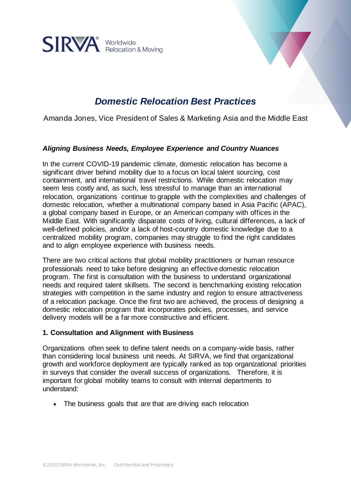

# *Domestic Relocation Best Practices*

Amanda Jones, Vice President of Sales & Marketing Asia and the Middle East

### *Aligning Business Needs, Employee Experience and Country Nuances*

In the current COVID-19 pandemic climate, domestic relocation has become a significant driver behind mobility due to a focus on local talent sourcing, cost containment, and international travel restrictions. While domestic relocation may seem less costly and, as such, less stressful to manage than an international relocation, organizations continue to grapple with the complexities and challenges of domestic relocation, whether a multinational company based in Asia Pacific (APAC), a global company based in Europe, or an American company with offices in the Middle East. With significantly disparate costs of living, cultural differences, a lack of well-defined policies, and/or a lack of host-country domestic knowledge due to a centralized mobility program, companies may struggle to find the right candidates and to align employee experience with business needs.

There are two critical actions that global mobility practitioners or human resource professionals need to take before designing an effective domestic relocation program. The first is consultation with the business to understand organizational needs and required talent skillsets. The second is benchmarking existing relocation strategies with competition in the same industry and region to ensure attractiveness of a relocation package. Once the first two are achieved, the process of designing a domestic relocation program that incorporates policies, processes, and service delivery models will be a far more constructive and efficient.

#### **1. Consultation and Alignment with Business**

Organizations often seek to define talent needs on a company-wide basis, rather than considering local business unit needs. At SIRVA, we find that organizational growth and workforce deployment are typically ranked as top organizational priorities in surveys that consider the overall success of organizations. Therefore, it is important for global mobility teams to consult with internal departments to understand:

• The business goals that are that are driving each relocation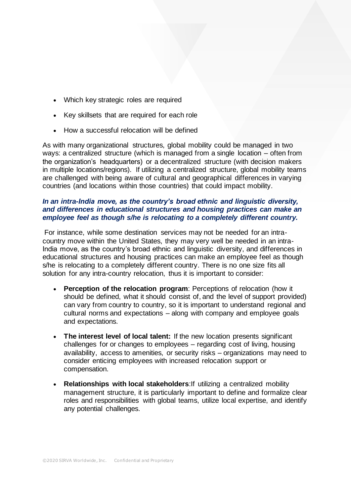- Which key strategic roles are required
- Key skillsets that are required for each role
- How a successful relocation will be defined

As with many organizational structures, global mobility could be managed in two ways: a centralized structure (which is managed from a single location – often from the organization's headquarters) or a decentralized structure (with decision makers in multiple locations/regions). If utilizing a centralized structure, global mobility teams are challenged with being aware of cultural and geographical differences in varying countries (and locations within those countries) that could impact mobility.

### *In an intra-India move, as the country's broad ethnic and linguistic diversity, and differences in educational structures and housing practices can make an employee feel as though s/he is relocating to a completely different country.*

For instance, while some destination services may not be needed for an intracountry move within the United States, they may very well be needed in an intra-India move, as the country's broad ethnic and linguistic diversity, and differences in educational structures and housing practices can make an employee feel as though s/he is relocating to a completely different country. There is no one size fits all solution for any intra-country relocation, thus it is important to consider:

- **Perception of the relocation program: Perceptions of relocation (how it** should be defined, what it should consist of, and the level of support provided) can vary from country to country, so it is important to understand regional and cultural norms and expectations – along with company and employee goals and expectations.
- **The interest level of local talent:** If the new location presents significant challenges for or changes to employees – regarding cost of living, housing availability, access to amenities, or security risks – organizations may need to consider enticing employees with increased relocation support or compensation.
- **Relationships with local stakeholders**:If utilizing a centralized mobility management structure, it is particularly important to define and formalize clear roles and responsibilities with global teams, utilize local expertise, and identify any potential challenges.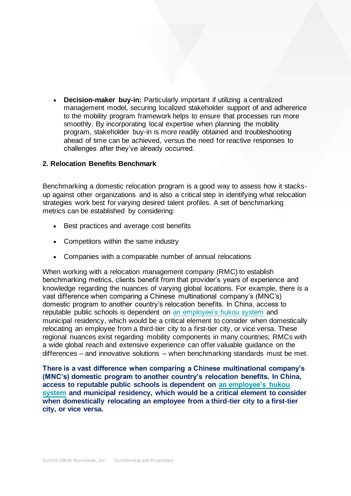• **Decision-maker buy-in:** Particularly important if utilizing a centralized management model, securing localized stakeholder support of and adherence to the mobility program framework helps to ensure that processes run more smoothly. By incorporating local expertise when planning the mobility program, stakeholder buy-in is more readily obtained and troubleshooting ahead of time can be achieved, versus the need for reactive responses to challenges after they've already occurred.

### **2. Relocation Benefits Benchmark**

Benchmarking a domestic relocation program is a good way to assess how it stacksup against other organizations and is also a critical step in identifying what relocation strategies work best for varying desired talent profiles. A set of benchmarking metrics can be established by considering:

- Best practices and average cost benefits
- Competitors within the same industry
- Companies with a comparable number of annual relocations

When working with a relocation management company (RMC) to establish benchmarking metrics, clients benefit from that provider's years of experience and knowledge regarding the nuances of varying global locations. For example, there is a vast difference when comparing a Chinese multinational company's (MNC's) domestic program to another country's relocation benefits. In China, access to reputable public schools is dependent on [an employee's hukou system](https://www.amcham-shanghai.org/en/fast-answers) and municipal residency, which would be a critical element to consider when domestically relocating an employee from a third-tier city to a first-tier city, or vice versa. These regional nuances exist regarding mobility components in many countries; RMCs with a wide global reach and extensive experience can offer valuable guidance on the differences – and innovative solutions – when benchmarking standards must be met.

**There is a vast difference when comparing a Chinese multinational company's (MNC's) domestic program to another country's relocation benefits. In China, access to reputable public schools is dependent on [an employee's hukou](https://www.amcham-shanghai.org/en/fast-answers)  [system](https://www.amcham-shanghai.org/en/fast-answers) and municipal residency, which would be a critical element to consider when domestically relocating an employee from a third-tier city to a first-tier city, or vice versa.**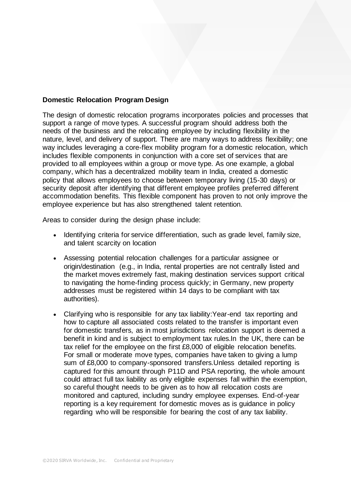# **Domestic Relocation Program Design**

The design of domestic relocation programs incorporates policies and processes that support a range of move types. A successful program should address both the needs of the business and the relocating employee by including flexibility in the nature, level, and delivery of support. There are many ways to address flexibility; one way includes leveraging a core-flex mobility program for a domestic relocation, which includes flexible components in conjunction with a core set of services that are provided to all employees within a group or move type. As one example, a global company, which has a decentralized mobility team in India, created a domestic policy that allows employees to choose between temporary living (15-30 days) or security deposit after identifying that different employee profiles preferred different accommodation benefits. This flexible component has proven to not only improve the employee experience but has also strengthened talent retention.

Areas to consider during the design phase include:

- Identifying criteria for service differentiation, such as grade level, family size, and talent scarcity on location
- Assessing potential relocation challenges for a particular assignee or origin/destination (e.g., in India, rental properties are not centrally listed and the market moves extremely fast, making destination services support critical to navigating the home-finding process quickly; in Germany, new property addresses must be registered within 14 days to be compliant with tax authorities).
- Clarifying who is responsible for any tax liability:Year-end tax reporting and how to capture all associated costs related to the transfer is important even for domestic transfers, as in most jurisdictions relocation support is deemed a benefit in kind and is subject to employment tax rules.In the UK, there can be tax relief for the employee on the first £8,000 of eligible relocation benefits. For small or moderate move types, companies have taken to giving a lump sum of £8,000 to company-sponsored transfers.Unless detailed reporting is captured for this amount through P11D and PSA reporting, the whole amount could attract full tax liability as only eligible expenses fall within the exemption, so careful thought needs to be given as to how all relocation costs are monitored and captured, including sundry employee expenses. End-of-year reporting is a key requirement for domestic moves as is guidance in policy regarding who will be responsible for bearing the cost of any tax liability.